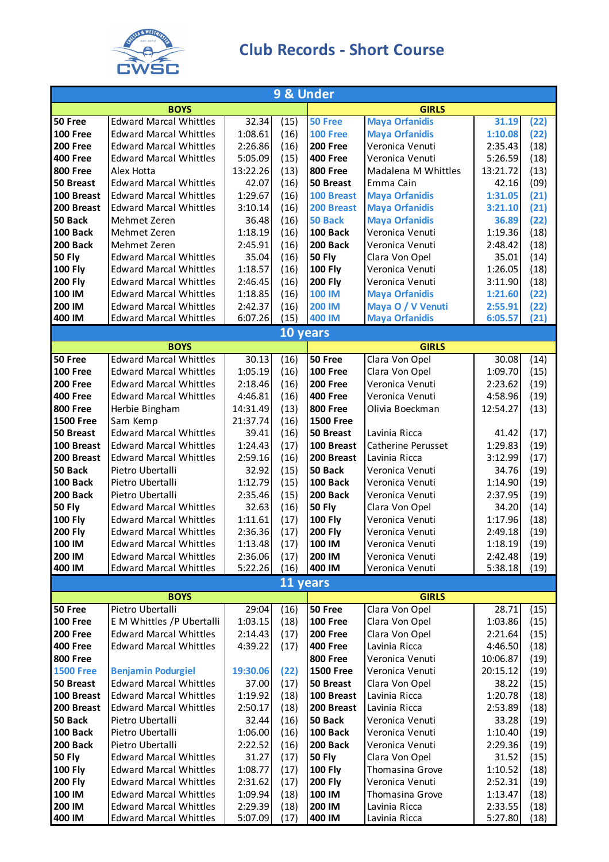

## **Club Records - Short Course**

| 9 & Under            |                                                   |                    |              |                          |                                   |                    |              |  |  |
|----------------------|---------------------------------------------------|--------------------|--------------|--------------------------|-----------------------------------|--------------------|--------------|--|--|
|                      | <b>BOYS</b>                                       |                    |              |                          | <b>GIRLS</b>                      |                    |              |  |  |
| 50 Free              | <b>Edward Marcal Whittles</b>                     | 32.34              | (15)         | 50 Free                  | <b>Maya Orfanidis</b>             | 31.19              | (22)         |  |  |
| <b>100 Free</b>      | <b>Edward Marcal Whittles</b>                     | 1:08.61            | (16)         | <b>100 Free</b>          | <b>Maya Orfanidis</b>             | 1:10.08            | (22)         |  |  |
| <b>200 Free</b>      | <b>Edward Marcal Whittles</b>                     | 2:26.86            | (16)         | <b>200 Free</b>          | Veronica Venuti                   | 2:35.43            | (18)         |  |  |
| <b>400 Free</b>      | <b>Edward Marcal Whittles</b>                     | 5:05.09            | (15)         | <b>400 Free</b>          | Veronica Venuti                   | 5:26.59            | (18)         |  |  |
| <b>800 Free</b>      | Alex Hotta                                        | 13:22.26           | (13)         | <b>800 Free</b>          | Madalena M Whittles               | 13:21.72           | (13)         |  |  |
| 50 Breast            | <b>Edward Marcal Whittles</b>                     | 42.07              | (16)         | 50 Breast                | Emma Cain                         | 42.16              | (09)         |  |  |
| 100 Breast           | <b>Edward Marcal Whittles</b>                     | 1:29.67            | (16)         | 100 Breast               | <b>Maya Orfanidis</b>             | 1:31.05            | (21)         |  |  |
| 200 Breast           | <b>Edward Marcal Whittles</b>                     | 3:10.14            | (16)         | 200 Breast               | <b>Maya Orfanidis</b>             | 3:21.10            | (21)         |  |  |
| 50 Back              | Mehmet Zeren                                      | 36.48              | (16)         | 50 Back                  | <b>Maya Orfanidis</b>             | 36.89              | (22)         |  |  |
| 100 Back             | Mehmet Zeren                                      | 1:18.19            | (16)         | <b>100 Back</b>          | Veronica Venuti                   | 1:19.36            | (18)         |  |  |
| 200 Back             | Mehmet Zeren                                      | 2:45.91            | (16)         | 200 Back                 | Veronica Venuti                   | 2:48.42            | (18)         |  |  |
| <b>50 Fly</b>        | <b>Edward Marcal Whittles</b>                     | 35.04              | (16)         | <b>50 Fly</b>            | Clara Von Opel                    | 35.01              | (14)         |  |  |
| <b>100 Fly</b>       | <b>Edward Marcal Whittles</b>                     | 1:18.57            | (16)         | 100 Fly                  | Veronica Venuti                   | 1:26.05            | (18)         |  |  |
| <b>200 Fly</b>       | <b>Edward Marcal Whittles</b>                     | 2:46.45            | (16)         | <b>200 Fly</b>           | Veronica Venuti                   | 3:11.90            | (18)         |  |  |
| 100 IM               | <b>Edward Marcal Whittles</b>                     | 1:18.85            | (16)         | <b>100 IM</b>            | <b>Maya Orfanidis</b>             | 1:21.60            | (22)         |  |  |
| 200 IM               | <b>Edward Marcal Whittles</b>                     | 2:42.37<br>6:07.26 | (16)         | <b>200 IM</b>            | Maya O / V Venuti                 | 2:55.91            | (22)         |  |  |
| 400 IM               | <b>Edward Marcal Whittles</b>                     |                    | (15)         | 400 IM                   | <b>Maya Orfanidis</b>             | 6:05.57            | (21)         |  |  |
| 10 years             |                                                   |                    |              |                          |                                   |                    |              |  |  |
| 50 Free              | <b>BOYS</b><br><b>Edward Marcal Whittles</b>      |                    |              | 50 Free                  | <b>GIRLS</b>                      | 30.08              |              |  |  |
| <b>100 Free</b>      | <b>Edward Marcal Whittles</b>                     | 30.13<br>1:05.19   | (16)<br>(16) | <b>100 Free</b>          | Clara Von Opel                    | 1:09.70            | (14)         |  |  |
| <b>200 Free</b>      | <b>Edward Marcal Whittles</b>                     | 2:18.46            | (16)         | <b>200 Free</b>          | Clara Von Opel<br>Veronica Venuti | 2:23.62            | (15)<br>(19) |  |  |
| <b>400 Free</b>      | <b>Edward Marcal Whittles</b>                     | 4:46.81            | (16)         | <b>400 Free</b>          | Veronica Venuti                   | 4:58.96            | (19)         |  |  |
| <b>800 Free</b>      | Herbie Bingham                                    | 14:31.49           | (13)         | <b>800 Free</b>          | Olivia Boeckman                   | 12:54.27           | (13)         |  |  |
| <b>1500 Free</b>     | Sam Kemp                                          | 21:37.74           | (16)         | <b>1500 Free</b>         |                                   |                    |              |  |  |
| <b>50 Breast</b>     | <b>Edward Marcal Whittles</b>                     | 39.41              | (16)         | 50 Breast                | Lavinia Ricca                     | 41.42              | (17)         |  |  |
| 100 Breast           | <b>Edward Marcal Whittles</b>                     | 1:24.43            | (17)         | 100 Breast               | Catherine Perusset                | 1:29.83            | (19)         |  |  |
| 200 Breast           | <b>Edward Marcal Whittles</b>                     | 2:59.16            | (16)         | 200 Breast               | Lavinia Ricca                     | 3:12.99            | (17)         |  |  |
| 50 Back              | Pietro Ubertalli                                  | 32.92              | (15)         | 50 Back                  | Veronica Venuti                   | 34.76              | (19)         |  |  |
| 100 Back             | Pietro Ubertalli                                  | 1:12.79            | (15)         | 100 Back                 | Veronica Venuti                   | 1:14.90            | (19)         |  |  |
| 200 Back             | Pietro Ubertalli                                  | 2:35.46            | (15)         | 200 Back                 | Veronica Venuti                   | 2:37.95            | (19)         |  |  |
| <b>50 Fly</b>        | <b>Edward Marcal Whittles</b>                     | 32.63              | (16)         | <b>50 Fly</b>            | Clara Von Opel                    | 34.20              | (14)         |  |  |
| <b>100 Fly</b>       | <b>Edward Marcal Whittles</b>                     | 1:11.61            | (17)         | <b>100 Fly</b>           | Veronica Venuti                   | 1:17.96            | (18)         |  |  |
| <b>200 Fly</b>       | <b>Edward Marcal Whittles</b>                     | 2:36.36            | (17)         | <b>200 Fly</b>           | Veronica Venuti                   | 2:49.18            | (19)         |  |  |
| 100 IM               | <b>Edward Marcal Whittles</b>                     | 1:13.48            | (17)         | 100 IM                   | Veronica Venuti                   | 1:18.19            | (19)         |  |  |
| 200 IM               | <b>Edward Marcal Whittles</b>                     | 2:36.06            | (17)         | 200 IM                   | Veronica Venuti                   | 2:42.48            | (19)         |  |  |
| 400 IM               | <b>Edward Marcal Whittles</b>                     | 5:22.26            | (16)         | 400 IM                   | Veronica Venuti                   | 5:38.18            | (19)         |  |  |
|                      |                                                   |                    | 11 years     |                          |                                   |                    |              |  |  |
|                      | <b>BOYS</b>                                       |                    |              |                          | <b>GIRLS</b>                      |                    |              |  |  |
| 50 Free              | Pietro Ubertalli                                  | 29:04              | (16)         | 50 Free                  | Clara Von Opel                    | 28.71              | (15)         |  |  |
| <b>100 Free</b>      | E M Whittles /P Ubertalli                         | 1:03.15            | (18)         | 100 Free                 | Clara Von Opel                    | 1:03.86            | (15)         |  |  |
| <b>200 Free</b>      | <b>Edward Marcal Whittles</b>                     | 2:14.43            | (17)         | <b>200 Free</b>          | Clara Von Opel                    | 2:21.64            | (15)         |  |  |
| <b>400 Free</b>      | <b>Edward Marcal Whittles</b>                     | 4:39.22            | (17)         | <b>400 Free</b>          | Lavinia Ricca                     | 4:46.50            | (18)         |  |  |
| <b>800 Free</b>      |                                                   |                    |              | <b>800 Free</b>          | Veronica Venuti                   | 10:06.87           | (19)         |  |  |
| <b>1500 Free</b>     | <b>Benjamin Podurgiel</b>                         | 19:30.06           | (22)         | <b>1500 Free</b>         | Veronica Venuti                   | 20:15.12           | (19)         |  |  |
| 50 Breast            | <b>Edward Marcal Whittles</b>                     | 37.00              | (17)         | 50 Breast                | Clara Von Opel                    | 38.22              | (15)         |  |  |
| 100 Breast           | <b>Edward Marcal Whittles</b>                     | 1:19.92            | (18)         | 100 Breast               | Lavinia Ricca                     | 1:20.78            | (18)         |  |  |
| 200 Breast           | <b>Edward Marcal Whittles</b>                     | 2:50.17            | (18)         | 200 Breast               | Lavinia Ricca                     | 2:53.89            | (18)         |  |  |
| 50 Back              | Pietro Ubertalli                                  | 32.44              | (16)         | 50 Back                  | Veronica Venuti                   | 33.28              | (19)         |  |  |
| 100 Back<br>200 Back | Pietro Ubertalli                                  | 1:06.00            | (16)         | 100 Back                 | Veronica Venuti                   | 1:10.40            | (19)         |  |  |
| <b>50 Fly</b>        | Pietro Ubertalli<br><b>Edward Marcal Whittles</b> | 2:22.52<br>31.27   | (16)         | 200 Back                 | Veronica Venuti                   | 2:29.36<br>31.52   | (19)         |  |  |
| <b>100 Fly</b>       | <b>Edward Marcal Whittles</b>                     | 1:08.77            | (17)<br>(17) | <b>50 Fly</b>            | Clara Von Opel<br>Thomasina Grove | 1:10.52            | (15)         |  |  |
| <b>200 Fly</b>       | <b>Edward Marcal Whittles</b>                     | 2:31.62            | (17)         | <b>100 Fly</b>           | Veronica Venuti                   |                    | (18)         |  |  |
| 100 IM               | <b>Edward Marcal Whittles</b>                     | 1:09.94            | (18)         | <b>200 Fly</b><br>100 IM | Thomasina Grove                   | 2:52.31<br>1:13.47 | (19)         |  |  |
| 200 IM               | <b>Edward Marcal Whittles</b>                     | 2:29.39            | (18)         | 200 IM                   | Lavinia Ricca                     | 2:33.55            | (18)<br>(18) |  |  |
| 400 IM               | <b>Edward Marcal Whittles</b>                     | 5:07.09            | (17)         | 400 IM                   | Lavinia Ricca                     | 5:27.80            | (18)         |  |  |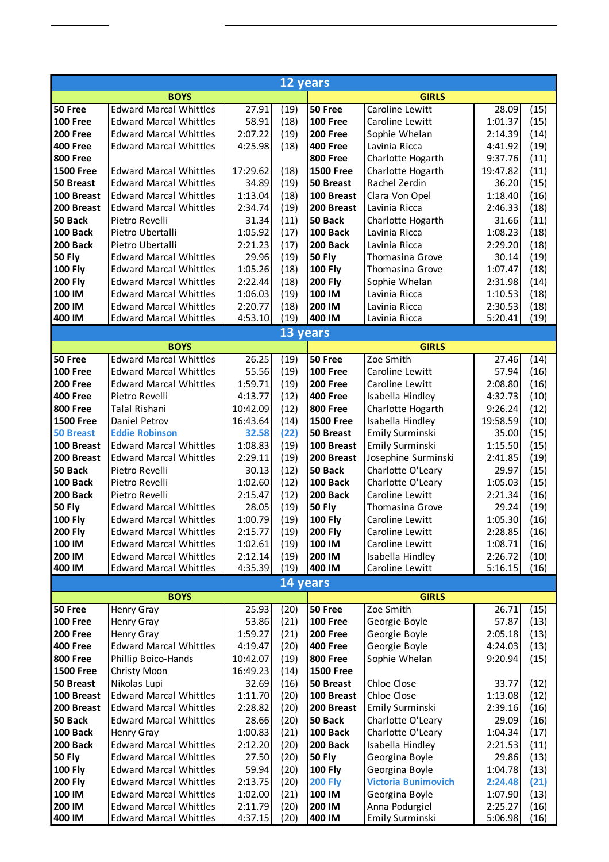| 12 years                   |                                                                |                    |              |                                    |                                       |                    |              |
|----------------------------|----------------------------------------------------------------|--------------------|--------------|------------------------------------|---------------------------------------|--------------------|--------------|
|                            | <b>BOYS</b>                                                    |                    |              |                                    | <b>GIRLS</b>                          |                    |              |
| 50 Free                    | <b>Edward Marcal Whittles</b>                                  | 27.91              | (19)         | 50 Free                            | Caroline Lewitt                       | 28.09              | (15)         |
| <b>100 Free</b>            | <b>Edward Marcal Whittles</b>                                  | 58.91              | (18)         | <b>100 Free</b>                    | Caroline Lewitt                       | 1:01.37            | (15)         |
| 200 Free                   | <b>Edward Marcal Whittles</b>                                  | 2:07.22            | (19)         | <b>200 Free</b>                    | Sophie Whelan                         | 2:14.39            | (14)         |
| <b>400 Free</b>            | <b>Edward Marcal Whittles</b>                                  | 4:25.98            | (18)         | <b>400 Free</b>                    | Lavinia Ricca                         | 4:41.92            | (19)         |
| <b>800 Free</b>            |                                                                |                    |              | <b>800 Free</b>                    | Charlotte Hogarth                     | 9:37.76            | (11)         |
| <b>1500 Free</b>           | <b>Edward Marcal Whittles</b>                                  | 17:29.62           | (18)         | <b>1500 Free</b>                   | Charlotte Hogarth                     | 19:47.82           | (11)         |
| 50 Breast                  | <b>Edward Marcal Whittles</b>                                  | 34.89              | (19)         | 50 Breast                          | Rachel Zerdin                         | 36.20              | (15)         |
| 100 Breast                 | <b>Edward Marcal Whittles</b>                                  | 1:13.04            | (18)         | 100 Breast                         | Clara Von Opel                        | 1:18.40            | (16)         |
| 200 Breast                 | <b>Edward Marcal Whittles</b>                                  | 2:34.74            | (19)         | 200 Breast                         | Lavinia Ricca                         | 2:46.33            | (18)         |
| 50 Back                    | Pietro Revelli                                                 | 31.34              | (11)         | 50 Back                            | Charlotte Hogarth                     | 31.66              | (11)         |
| 100 Back                   | Pietro Ubertalli                                               | 1:05.92            | (17)         | 100 Back                           | Lavinia Ricca                         | 1:08.23            | (18)         |
| 200 Back                   | Pietro Ubertalli                                               | 2:21.23            | (17)         | 200 Back                           | Lavinia Ricca                         | 2:29.20            | (18)         |
| <b>50 Fly</b>              | <b>Edward Marcal Whittles</b>                                  | 29.96              | (19)         | <b>50 Fly</b>                      | Thomasina Grove                       | 30.14              | (19)         |
| <b>100 Fly</b>             | <b>Edward Marcal Whittles</b>                                  | 1:05.26            | (18)         | <b>100 Fly</b>                     | Thomasina Grove                       | 1:07.47            | (18)         |
| <b>200 Fly</b>             | <b>Edward Marcal Whittles</b>                                  | 2:22.44            | (18)         | <b>200 Fly</b>                     | Sophie Whelan                         | 2:31.98            | (14)         |
| 100 IM                     | <b>Edward Marcal Whittles</b>                                  | 1:06.03            | (19)         | 100 IM                             | Lavinia Ricca                         | 1:10.53            | (18)         |
| 200 IM                     | <b>Edward Marcal Whittles</b>                                  | 2:20.77            | (18)         | 200 IM                             | Lavinia Ricca                         | 2:30.53            | (18)         |
| 400 IM                     | <b>Edward Marcal Whittles</b>                                  | 4:53.10            | (19)         | 400 IM                             | Lavinia Ricca                         | 5:20.41            | (19)         |
|                            |                                                                |                    | 13 years     |                                    |                                       |                    |              |
|                            | <b>BOYS</b><br><b>Edward Marcal Whittles</b>                   |                    |              |                                    | <b>GIRLS</b><br>Zoe Smith             |                    |              |
| 50 Free<br><b>100 Free</b> |                                                                | 26.25              | (19)         | 50 Free<br><b>100 Free</b>         | Caroline Lewitt                       | 27.46              | (14)         |
| <b>200 Free</b>            | <b>Edward Marcal Whittles</b><br><b>Edward Marcal Whittles</b> | 55.56<br>1:59.71   | (19)         |                                    |                                       | 57.94              | (16)         |
| <b>400 Free</b>            | Pietro Revelli                                                 | 4:13.77            | (19)<br>(12) | <b>200 Free</b><br><b>400 Free</b> | Caroline Lewitt                       | 2:08.80<br>4:32.73 | (16)         |
| <b>800 Free</b>            | <b>Talal Rishani</b>                                           | 10:42.09           | (12)         | <b>800 Free</b>                    | Isabella Hindley                      | 9:26.24            | (10)<br>(12) |
| <b>1500 Free</b>           | Daniel Petrov                                                  | 16:43.64           | (14)         | <b>1500 Free</b>                   | Charlotte Hogarth<br>Isabella Hindley | 19:58.59           | (10)         |
| <b>50 Breast</b>           | <b>Eddie Robinson</b>                                          | 32.58              | (22)         | 50 Breast                          | <b>Emily Surminski</b>                | 35.00              | (15)         |
| 100 Breast                 | <b>Edward Marcal Whittles</b>                                  | 1:08.83            | (19)         | 100 Breast                         | <b>Emily Surminski</b>                | 1:15.50            | (15)         |
| 200 Breast                 | <b>Edward Marcal Whittles</b>                                  | 2:29.11            | (19)         | 200 Breast                         | Josephine Surminski                   | 2:41.85            | (19)         |
| 50 Back                    | Pietro Revelli                                                 | 30.13              | (12)         | 50 Back                            | Charlotte O'Leary                     | 29.97              | (15)         |
| 100 Back                   | Pietro Revelli                                                 | 1:02.60            | (12)         | 100 Back                           | Charlotte O'Leary                     | 1:05.03            | (15)         |
| 200 Back                   | Pietro Revelli                                                 | 2:15.47            | (12)         | 200 Back                           | Caroline Lewitt                       | 2:21.34            | (16)         |
| <b>50 Fly</b>              | <b>Edward Marcal Whittles</b>                                  | 28.05              | (19)         | <b>50 Fly</b>                      | Thomasina Grove                       | 29.24              | (19)         |
| <b>100 Fly</b>             | <b>Edward Marcal Whittles</b>                                  | 1:00.79            | (19)         | <b>100 Fly</b>                     | Caroline Lewitt                       | 1:05.30            | (16)         |
| 200 Fly                    | <b>Edward Marcal Whittles</b>                                  | 2:15.77            | (19)         | 200 Fly                            | Caroline Lewitt                       | 2:28.85            | (16)         |
| 100 IM                     | <b>Edward Marcal Whittles</b>                                  | 1:02.61            | (19)         | 100 IM                             | Caroline Lewitt                       | 1:08.71            | (16)         |
| 200 IM                     | <b>Edward Marcal Whittles</b>                                  | 2:12.14            | (19)         | 200 IM                             | Isabella Hindley                      | 2:26.72            | (10)         |
| 400 IM                     | <b>Edward Marcal Whittles</b>                                  | 4:35.39            | (19)         | 400 IM                             | Caroline Lewitt                       | 5:16.15            | (16)         |
|                            |                                                                |                    | 14 years     |                                    |                                       |                    |              |
|                            | <b>BOYS</b>                                                    |                    |              |                                    | <b>GIRLS</b>                          |                    |              |
| 50 Free                    | Henry Gray                                                     | 25.93              | (20)         | 50 Free                            | Zoe Smith                             | 26.71              | (15)         |
| <b>100 Free</b>            | Henry Gray                                                     | 53.86              | (21)         | <b>100 Free</b>                    | Georgie Boyle                         | 57.87              | (13)         |
| <b>200 Free</b>            | Henry Gray                                                     | 1:59.27            | (21)         | <b>200 Free</b>                    | Georgie Boyle                         | 2:05.18            | (13)         |
| <b>400 Free</b>            | <b>Edward Marcal Whittles</b>                                  | 4:19.47            | (20)         | <b>400 Free</b>                    | Georgie Boyle                         | 4:24.03            | (13)         |
| <b>800 Free</b>            | Phillip Boico-Hands                                            | 10:42.07           | (19)         | <b>800 Free</b>                    | Sophie Whelan                         | 9:20.94            | (15)         |
| <b>1500 Free</b>           | Christy Moon                                                   | 16:49.23           | (14)         | <b>1500 Free</b>                   |                                       |                    |              |
| 50 Breast                  | Nikolas Lupi                                                   | 32.69              | (16)         | 50 Breast                          | Chloe Close                           | 33.77              | (12)         |
| 100 Breast                 | <b>Edward Marcal Whittles</b>                                  | 1:11.70            | (20)         | 100 Breast                         | Chloe Close                           | 1:13.08            | (12)         |
| 200 Breast                 | <b>Edward Marcal Whittles</b>                                  | 2:28.82            | (20)         | 200 Breast                         | Emily Surminski                       | 2:39.16            | (16)         |
| 50 Back                    | <b>Edward Marcal Whittles</b>                                  | 28.66              | (20)         | 50 Back                            | Charlotte O'Leary                     | 29.09              | (16)         |
| 100 Back                   | Henry Gray                                                     | 1:00.83            | (21)         | 100 Back                           | Charlotte O'Leary                     | 1:04.34            | (17)         |
| 200 Back                   | <b>Edward Marcal Whittles</b>                                  | 2:12.20            | (20)         | 200 Back                           | Isabella Hindley                      | 2:21.53            | (11)         |
| <b>50 Fly</b>              | <b>Edward Marcal Whittles</b>                                  | 27.50              | (20)         | <b>50 Fly</b>                      | Georgina Boyle                        | 29.86              | (13)         |
| <b>100 Fly</b>             | <b>Edward Marcal Whittles</b>                                  | 59.94              | (20)         | <b>100 Fly</b>                     | Georgina Boyle                        | 1:04.78            | (13)         |
| <b>200 Fly</b>             | <b>Edward Marcal Whittles</b>                                  | 2:13.75            | (20)         | <b>200 Fly</b>                     | <b>Victoria Bunimovich</b>            | 2:24.48            | (21)         |
| 100 IM                     | <b>Edward Marcal Whittles</b>                                  | 1:02.00            | (21)         | 100 IM                             | Georgina Boyle                        | 1:07.90            | (13)         |
| 200 IM<br>400 IM           | <b>Edward Marcal Whittles</b><br><b>Edward Marcal Whittles</b> | 2:11.79<br>4:37.15 | (20)<br>(20) | 200 IM<br>400 IM                   | Anna Podurgiel<br>Emily Surminski     | 2:25.27<br>5:06.98 | (16)<br>(16) |
|                            |                                                                |                    |              |                                    |                                       |                    |              |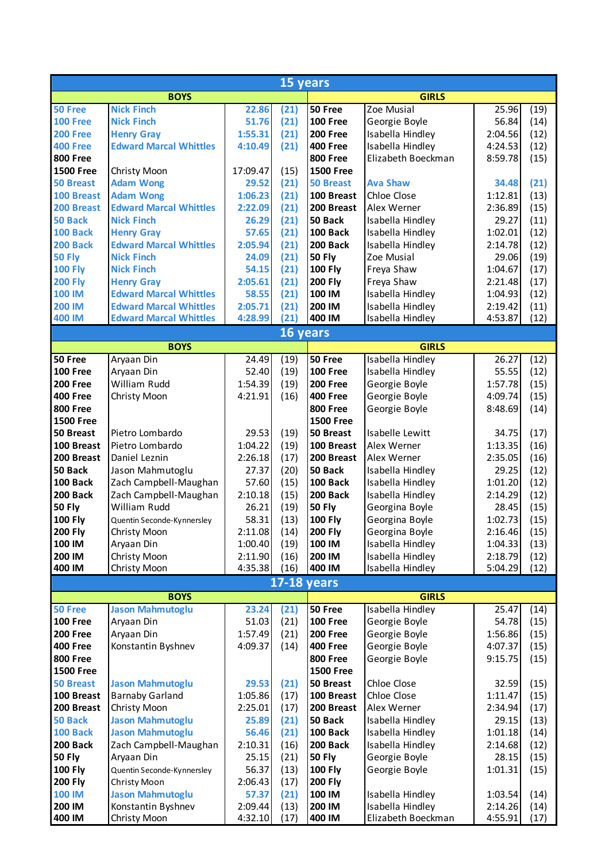| 15 years                          |                                                   |                  |              |                           |                                      |                  |              |  |
|-----------------------------------|---------------------------------------------------|------------------|--------------|---------------------------|--------------------------------------|------------------|--------------|--|
| <b>BOYS</b>                       |                                                   |                  |              | <b>GIRLS</b>              |                                      |                  |              |  |
| 50 Free                           | <b>Nick Finch</b>                                 | 22.86            | (21)         | 50 Free                   | Zoe Musial                           | 25.96            | (19)         |  |
| <b>100 Free</b>                   | <b>Nick Finch</b>                                 | 51.76            | (21)         | <b>100 Free</b>           | Georgie Boyle                        | 56.84            | (14)         |  |
| <b>200 Free</b>                   | <b>Henry Gray</b>                                 | 1:55.31          | (21)         | <b>200 Free</b>           | Isabella Hindley                     | 2:04.56          | (12)         |  |
| <b>400 Free</b>                   | <b>Edward Marcal Whittles</b>                     | 4:10.49          | (21)         | <b>400 Free</b>           | Isabella Hindley                     | 4:24.53          | (12)         |  |
| <b>800 Free</b>                   |                                                   |                  |              | <b>800 Free</b>           | Elizabeth Boeckman                   | 8:59.78          | (15)         |  |
| <b>1500 Free</b>                  | Christy Moon                                      | 17:09.47         | (15)         | <b>1500 Free</b>          |                                      |                  |              |  |
| <b>50 Breast</b>                  | <b>Adam Wong</b>                                  | 29.52            | (21)         | <b>50 Breast</b>          | <b>Ava Shaw</b>                      | 34.48            | (21)         |  |
| 100 Breast                        | <b>Adam Wong</b><br><b>Edward Marcal Whittles</b> | 1:06.23          | (21)         | 100 Breast                | Chloe Close                          | 1:12.81          | (13)         |  |
| 200 Breast                        | <b>Nick Finch</b>                                 | 2:22.09          | (21)         | 200 Breast                | Alex Werner                          | 2:36.89          | (15)         |  |
| <b>50 Back</b><br><b>100 Back</b> | <b>Henry Gray</b>                                 | 26.29<br>57.65   | (21)<br>(21) | 50 Back<br>100 Back       | Isabella Hindley<br>Isabella Hindley | 29.27<br>1:02.01 | (11)         |  |
| <b>200 Back</b>                   | <b>Edward Marcal Whittles</b>                     | 2:05.94          | (21)         | 200 Back                  | Isabella Hindley                     | 2:14.78          | (12)<br>(12) |  |
| <b>50 Fly</b>                     | <b>Nick Finch</b>                                 | 24.09            | (21)         | <b>50 Fly</b>             | Zoe Musial                           | 29.06            | (19)         |  |
| <b>100 Fly</b>                    | <b>Nick Finch</b>                                 | 54.15            | (21)         | <b>100 Fly</b>            | Freya Shaw                           | 1:04.67          | (17)         |  |
| <b>200 Fly</b>                    | <b>Henry Gray</b>                                 | 2:05.61          | (21)         | <b>200 Fly</b>            | Freya Shaw                           | 2:21.48          | (17)         |  |
| <b>100 IM</b>                     | <b>Edward Marcal Whittles</b>                     | 58.55            | (21)         | 100 IM                    | Isabella Hindley                     | 1:04.93          | (12)         |  |
| <b>200 IM</b>                     | <b>Edward Marcal Whittles</b>                     | 2:05.71          | (21)         | 200 IM                    | Isabella Hindley                     | 2:19.42          | (11)         |  |
| <b>400 IM</b>                     | <b>Edward Marcal Whittles</b>                     | 4:28.99          | (21)         | 400 IM                    | Isabella Hindley                     | 4:53.87          | (12)         |  |
|                                   |                                                   |                  | 16 years     |                           |                                      |                  |              |  |
|                                   | <b>BOYS</b>                                       |                  |              | <b>GIRLS</b>              |                                      |                  |              |  |
| 50 Free                           | Aryaan Din                                        | 24.49            | (19)         | 50 Free                   | Isabella Hindley                     | 26.27            | (12)         |  |
| <b>100 Free</b>                   | Aryaan Din                                        | 52.40            | (19)         | <b>100 Free</b>           | Isabella Hindley                     | 55.55            | (12)         |  |
| <b>200 Free</b>                   | William Rudd                                      | 1:54.39          | (19)         | <b>200 Free</b>           | Georgie Boyle                        | 1:57.78          | (15)         |  |
| <b>400 Free</b>                   | Christy Moon                                      | 4:21.91          | (16)         | <b>400 Free</b>           | Georgie Boyle                        | 4:09.74          | (15)         |  |
| <b>800 Free</b>                   |                                                   |                  |              | <b>800 Free</b>           | Georgie Boyle                        | 8:48.69          | (14)         |  |
| <b>1500 Free</b>                  |                                                   |                  |              | <b>1500 Free</b>          |                                      |                  |              |  |
| 50 Breast                         | Pietro Lombardo                                   | 29.53            | (19)         | 50 Breast                 | Isabelle Lewitt                      | 34.75            | (17)         |  |
| 100 Breast                        | Pietro Lombardo                                   | 1:04.22          | (19)         | 100 Breast                | Alex Werner                          | 1:13.35          | (16)         |  |
| 200 Breast                        | Daniel Leznin                                     | 2:26.18          | (17)         | 200 Breast                | Alex Werner                          | 2:35.05          | (16)         |  |
| 50 Back                           | Jason Mahmutoglu                                  | 27.37            | (20)         | 50 Back                   | Isabella Hindley                     | 29.25            | (12)         |  |
| 100 Back                          | Zach Campbell-Maughan                             | 57.60            | (15)         | 100 Back                  | Isabella Hindley                     | 1:01.20          | (12)         |  |
| 200 Back<br><b>50 Fly</b>         | Zach Campbell-Maughan<br>William Rudd             | 2:10.18          | (15)         | 200 Back<br><b>50 Fly</b> | Isabella Hindley                     | 2:14.29          | (12)         |  |
| <b>100 Fly</b>                    | Quentin Seconde-Kynnersley                        | 26.21<br>58.31   | (19)<br>(13) | <b>100 Fly</b>            | Georgina Boyle<br>Georgina Boyle     | 28.45<br>1:02.73 | (15)<br>(15) |  |
| <b>200 Fly</b>                    | Christy Moon                                      | 2:11.08          | (14)         | <b>200 Fly</b>            | Georgina Boyle                       | 2:16.46          | (15)         |  |
| 100 IM                            | Aryaan Din                                        | 1:00.40          | (19)         | 100 IM                    | Isabella Hindley                     | 1:04.33          | (13)         |  |
| 200 IM                            | Christy Moon                                      | 2:11.90          | (16)         | 200 IM                    | Isabella Hindley                     | 2:18.79          | (12)         |  |
| 400 IM                            | Christy Moon                                      | 4:35.38          | (16)         | 400 IM                    | Isabella Hindley                     | 5:04.29          | (12)         |  |
|                                   |                                                   |                  |              | <b>17-18 years</b>        |                                      |                  |              |  |
|                                   | <b>BOYS</b>                                       |                  |              | <b>GIRLS</b>              |                                      |                  |              |  |
| 50 Free                           | <b>Jason Mahmutoglu</b>                           | 23.24            | (21)         | 50 Free                   | Isabella Hindley                     | 25.47            | (14)         |  |
| <b>100 Free</b>                   | Aryaan Din                                        | 51.03            | (21)         | <b>100 Free</b>           | Georgie Boyle                        | 54.78            | (15)         |  |
| <b>200 Free</b>                   | Aryaan Din                                        | 1:57.49          | (21)         | <b>200 Free</b>           | Georgie Boyle                        | 1:56.86          | (15)         |  |
| <b>400 Free</b>                   | Konstantin Byshnev                                | 4:09.37          | (14)         | <b>400 Free</b>           | Georgie Boyle                        | 4:07.37          | (15)         |  |
| <b>800 Free</b>                   |                                                   |                  |              | <b>800 Free</b>           | Georgie Boyle                        | 9:15.75          | (15)         |  |
| <b>1500 Free</b>                  |                                                   |                  |              | <b>1500 Free</b>          |                                      |                  |              |  |
| <b>50 Breast</b>                  | <b>Jason Mahmutoglu</b>                           | 29.53            | (21)         | 50 Breast                 | Chloe Close                          | 32.59            | (15)         |  |
| 100 Breast                        | <b>Barnaby Garland</b>                            | 1:05.86          | (17)         | 100 Breast                | Chloe Close                          | 1:11.47          | (15)         |  |
| 200 Breast<br>50 Back             | Christy Moon<br><b>Jason Mahmutoglu</b>           | 2:25.01<br>25.89 | (17)<br>(21) | 200 Breast<br>50 Back     | Alex Werner<br>Isabella Hindley      | 2:34.94<br>29.15 | (17)         |  |
| <b>100 Back</b>                   | <b>Jason Mahmutoglu</b>                           | 56.46            | (21)         | 100 Back                  | Isabella Hindley                     | 1:01.18          | (13)<br>(14) |  |
| 200 Back                          | Zach Campbell-Maughan                             | 2:10.31          | (16)         | 200 Back                  | Isabella Hindley                     | 2:14.68          | (12)         |  |
| <b>50 Fly</b>                     | Aryaan Din                                        | 25.15            | (21)         | <b>50 Fly</b>             | Georgie Boyle                        | 28.15            | (15)         |  |
| <b>100 Fly</b>                    | Quentin Seconde-Kynnersley                        | 56.37            | (13)         | <b>100 Fly</b>            | Georgie Boyle                        | 1:01.31          | (15)         |  |
| <b>200 Fly</b>                    | Christy Moon                                      | 2:06.43          | (17)         | <b>200 Fly</b>            |                                      |                  |              |  |
| <b>100 IM</b>                     | <b>Jason Mahmutoglu</b>                           | 57.37            | (21)         | 100 IM                    | Isabella Hindley                     | 1:03.54          | (14)         |  |
| 200 IM                            | Konstantin Byshnev                                | 2:09.44          | (13)         | 200 IM                    | Isabella Hindley                     | 2:14.26          | (14)         |  |
| 400 IM                            | Christy Moon                                      | 4:32.10          | (17)         | 400 IM                    | Elizabeth Boeckman                   | 4:55.91          | (17)         |  |